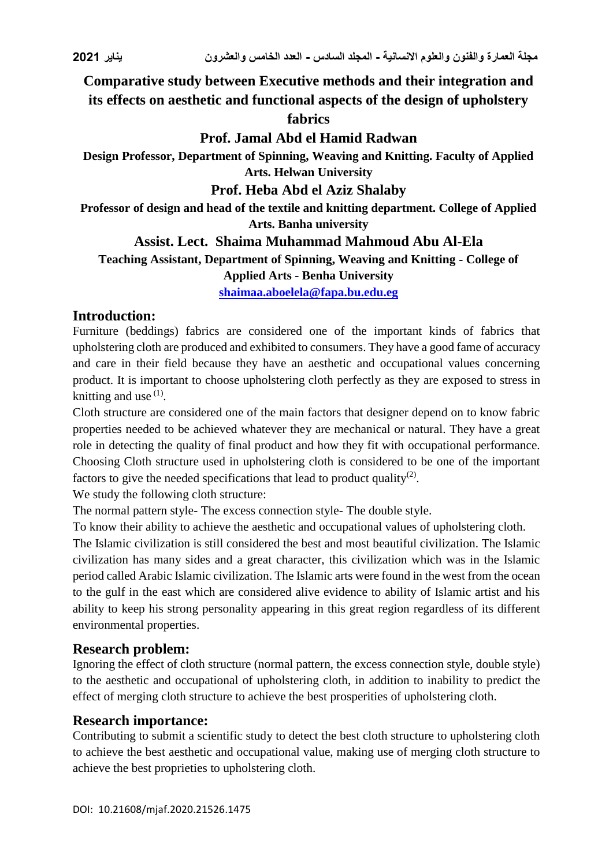# **Comparative study between Executive methods and their integration and its effects on aesthetic and functional aspects of the design of upholstery**

## **fabrics**

# **Prof. Jamal Abd el Hamid Radwan**

**Design Professor, Department of Spinning, Weaving and Knitting. Faculty of Applied Arts. Helwan University**

## **Prof. Heba Abd el Aziz Shalaby**

**Professor of design and head of the textile and knitting department. College of Applied Arts. Banha university**

## **Assist. Lect. Shaima Muhammad Mahmoud Abu Al-Ela**

**Teaching Assistant, Department of Spinning, Weaving and Knitting - College of** 

#### **Applied Arts - Benha University**

**[shaimaa.aboelela@fapa.bu.edu.eg](mailto:shaimaa.aboelela@fapa.bu.edu.eg)**

# **Introduction:**

Furniture (beddings) fabrics are considered one of the important kinds of fabrics that upholstering cloth are produced and exhibited to consumers. They have a good fame of accuracy and care in their field because they have an aesthetic and occupational values concerning product. It is important to choose upholstering cloth perfectly as they are exposed to stress in knitting and use  $(1)$ .

Cloth structure are considered one of the main factors that designer depend on to know fabric properties needed to be achieved whatever they are mechanical or natural. They have a great role in detecting the quality of final product and how they fit with occupational performance. Choosing Cloth structure used in upholstering cloth is considered to be one of the important factors to give the needed specifications that lead to product quality<sup>(2)</sup>.

We study the following cloth structure:

The normal pattern style- The excess connection style- The double style.

To know their ability to achieve the aesthetic and occupational values of upholstering cloth.

The Islamic civilization is still considered the best and most beautiful civilization. The Islamic civilization has many sides and a great character, this civilization which was in the Islamic period called Arabic Islamic civilization. The Islamic arts were found in the west from the ocean to the gulf in the east which are considered alive evidence to ability of Islamic artist and his ability to keep his strong personality appearing in this great region regardless of its different environmental properties.

## **Research problem:**

Ignoring the effect of cloth structure (normal pattern, the excess connection style, double style) to the aesthetic and occupational of upholstering cloth, in addition to inability to predict the effect of merging cloth structure to achieve the best prosperities of upholstering cloth.

## **Research importance:**

Contributing to submit a scientific study to detect the best cloth structure to upholstering cloth to achieve the best aesthetic and occupational value, making use of merging cloth structure to achieve the best proprieties to upholstering cloth.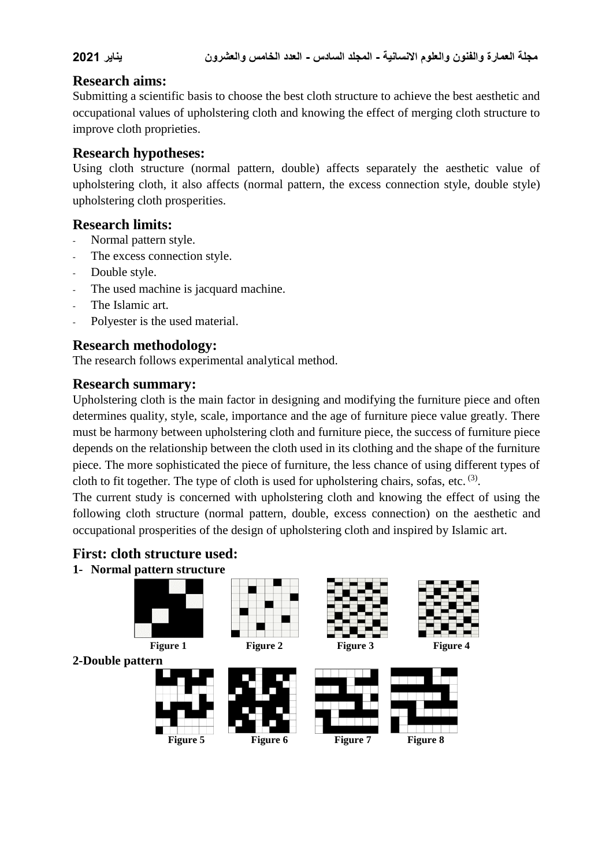## **Research aims:**

Submitting a scientific basis to choose the best cloth structure to achieve the best aesthetic and occupational values of upholstering cloth and knowing the effect of merging cloth structure to improve cloth proprieties.

# **Research hypotheses:**

Using cloth structure (normal pattern, double) affects separately the aesthetic value of upholstering cloth, it also affects (normal pattern, the excess connection style, double style) upholstering cloth prosperities.

# **Research limits:**

- Normal pattern style.
- The excess connection style.
- Double style.
- The used machine is jacquard machine.
- The Islamic art.
- Polyester is the used material.

# **Research methodology:**

The research follows experimental analytical method.

## **Research summary:**

Upholstering cloth is the main factor in designing and modifying the furniture piece and often determines quality, style, scale, importance and the age of furniture piece value greatly. There must be harmony between upholstering cloth and furniture piece, the success of furniture piece depends on the relationship between the cloth used in its clothing and the shape of the furniture piece. The more sophisticated the piece of furniture, the less chance of using different types of cloth to fit together. The type of cloth is used for upholstering chairs, sofas, etc.  $(3)$ .

The current study is concerned with upholstering cloth and knowing the effect of using the following cloth structure (normal pattern, double, excess connection) on the aesthetic and occupational prosperities of the design of upholstering cloth and inspired by Islamic art.

## **First: cloth structure used:**

#### **1- Normal pattern structure**

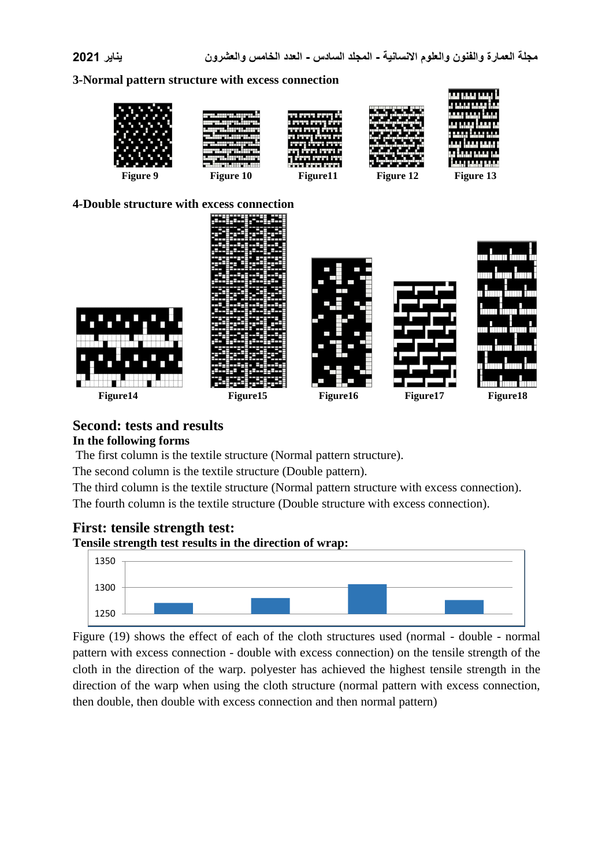#### **3-Normal pattern structure with excess connection**





# **Second: tests and results In the following forms**

The first column is the textile structure (Normal pattern structure).

The second column is the textile structure (Double pattern).

The third column is the textile structure (Normal pattern structure with excess connection).

The fourth column is the textile structure (Double structure with excess connection).

## **First: tensile strength test:**

#### **Tensile strength test results in the direction of wrap:**



Figure (19) shows the effect of each of the cloth structures used (normal - double - normal pattern with excess connection - double with excess connection) on the tensile strength of the cloth in the direction of the warp. polyester has achieved the highest tensile strength in the direction of the warp when using the cloth structure (normal pattern with excess connection, then double, then double with excess connection and then normal pattern)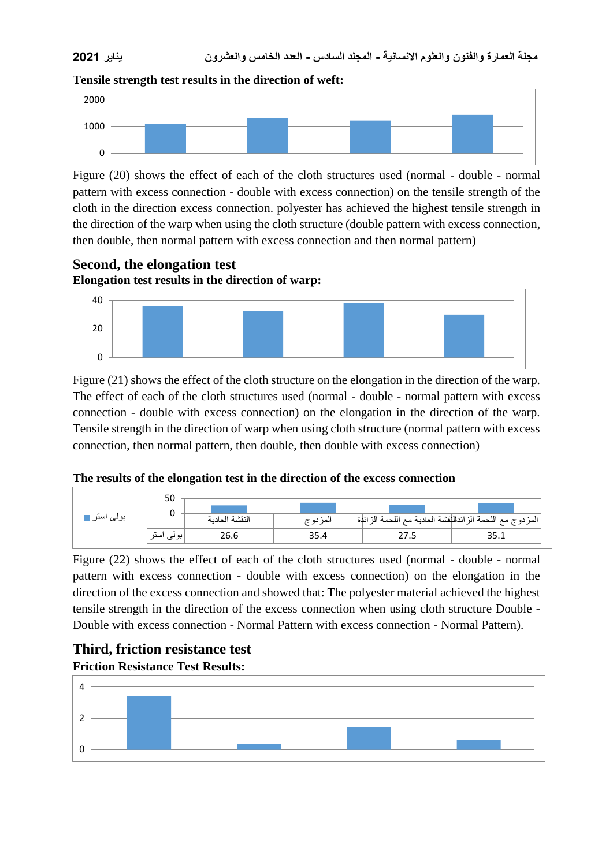## **مجلة العمارة والفنون والعلوم االنسانية - المجلد السادس - العدد الخامس والعشرون يناير 2021**





Figure (20) shows the effect of each of the cloth structures used (normal - double - normal pattern with excess connection - double with excess connection) on the tensile strength of the cloth in the direction excess connection. polyester has achieved the highest tensile strength in the direction of the warp when using the cloth structure (double pattern with excess connection, then double, then normal pattern with excess connection and then normal pattern)

**Second, the elongation test Elongation test results in the direction of warp:**



Figure (21) shows the effect of the cloth structure on the elongation in the direction of the warp. The effect of each of the cloth structures used (normal - double - normal pattern with excess connection - double with excess connection) on the elongation in the direction of the warp. Tensile strength in the direction of warp when using cloth structure (normal pattern with excess connection, then normal pattern, then double, then double with excess connection)

#### **The results of the elongation test in the direction of the excess connection**



Figure (22) shows the effect of each of the cloth structures used (normal - double - normal pattern with excess connection - double with excess connection) on the elongation in the direction of the excess connection and showed that: The polyester material achieved the highest tensile strength in the direction of the excess connection when using cloth structure Double - Double with excess connection - Normal Pattern with excess connection - Normal Pattern).

# **Third, friction resistance test Friction Resistance Test Results:**

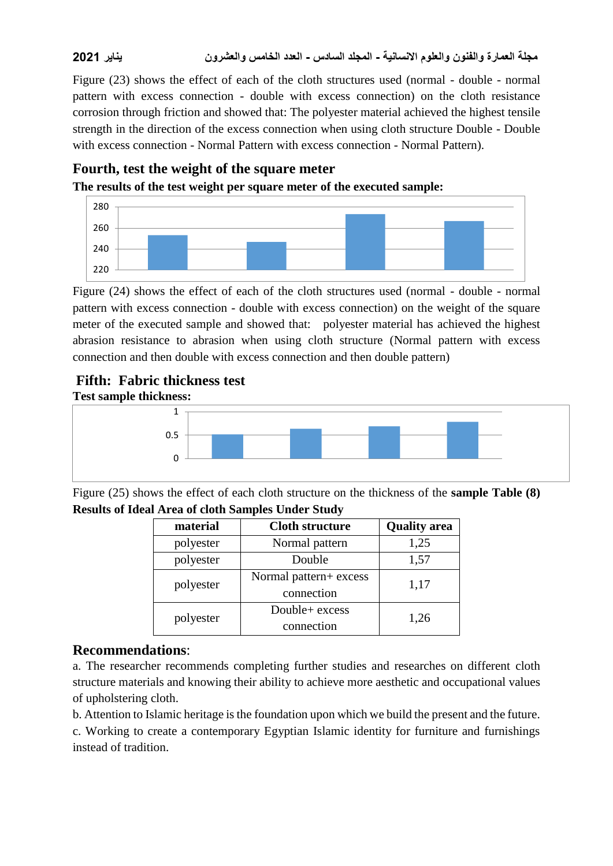**مجلة العمارة والفنون والعلوم االنسانية - المجلد السادس - العدد الخامس والعشرون يناير 2021**

Figure (23) shows the effect of each of the cloth structures used (normal - double - normal pattern with excess connection - double with excess connection) on the cloth resistance corrosion through friction and showed that: The polyester material achieved the highest tensile strength in the direction of the excess connection when using cloth structure Double - Double with excess connection - Normal Pattern with excess connection - Normal Pattern).

## **Fourth, test the weight of the square meter**

**The results of the test weight per square meter of the executed sample:**



Figure (24) shows the effect of each of the cloth structures used (normal - double - normal pattern with excess connection - double with excess connection) on the weight of the square meter of the executed sample and showed that: polyester material has achieved the highest abrasion resistance to abrasion when using cloth structure (Normal pattern with excess connection and then double with excess connection and then double pattern)

#### **Fifth: Fabric thickness test Test sample thickness:**



Figure (25) shows the effect of each cloth structure on the thickness of the **sample Table (8) Results of Ideal Area of cloth Samples Under Study**

| material  | <b>Cloth structure</b> | <b>Quality area</b> |
|-----------|------------------------|---------------------|
| polyester | Normal pattern         | 1,25                |
| polyester | Double                 | 1,57                |
| polyester | Normal pattern+ excess | 1,17                |
|           | connection             |                     |
| polyester | Double+ excess         | 1,26                |
|           | connection             |                     |

## **Recommendations**:

a. The researcher recommends completing further studies and researches on different cloth structure materials and knowing their ability to achieve more aesthetic and occupational values of upholstering cloth.

b. Attention to Islamic heritage is the foundation upon which we build the present and the future.

c. Working to create a contemporary Egyptian Islamic identity for furniture and furnishings instead of tradition.